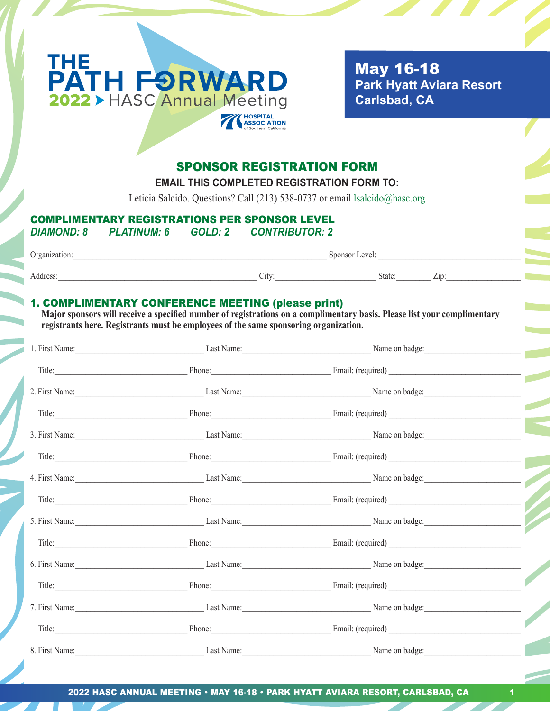

 May 16-18  **Park Hyatt Aviara Resort Carlsbad, CA**

# SPONSOR REGISTRATION FORM

**EMAIL THIS COMPLETED REGISTRATION FORM TO:**

Leticia Salcido. Questions? Call (213) 538-0737 or email lsalcido@hasc.org

# COMPLIMENTARY REGISTRATIONS PER SPONSOR LEVEL

*DIAMOND: 8 PLATINUM: 6 GOLD: 2 CONTRIBUTOR: 2*

| <b>Proanization.</b> | evel.<br>snonsor           |        |                  |
|----------------------|----------------------------|--------|------------------|
|                      |                            |        |                  |
|                      | $\mathsf{C}\mathsf{ItV}^*$ | State. | -<br>$\angle 10$ |

### 1. COMPLIMENTARY CONFERENCE MEETING (please print)

 **Major sponsors will receive a specified number of registrations on a complimentary basis. Please list your complimentary registrants here. Registrants must be employees of the same sponsoring organization.**

|  | 1. First Name: Name: Name: Name: Name: Name: Name: Name on badge: Name on badge:       |
|--|----------------------------------------------------------------------------------------|
|  | Title: Phone: Phone: Email: (required)                                                 |
|  | 2. First Name: Name: Name: Name: Name: Name: Name: Name on badge: Name on badge:       |
|  |                                                                                        |
|  | 3. First Name: Name: Name: Name: Name: Name: Name: Name: Name on badge: Name on badge: |
|  | Title: Email: (required) Phone: Email: (required)                                      |
|  | 4. First Name: Name: Name: Name: Name: Name: Name: Name on badge:                      |
|  | Title: Phone: Phone: Email: (required) Email: (required)                               |
|  | 5. First Name: Name: Name: Name: Name: Name: Name: Name on badge:                      |
|  |                                                                                        |
|  | 6. First Name: Name: Name: Name: Name: Name: Name: Name on badge: Name on badge:       |
|  |                                                                                        |
|  | 7. First Name: Name: Name: Name: Name: Name: Name: Name on badge: Name on badge:       |
|  | Title: Phone: Phone: Email: (required)                                                 |
|  | 8. First Name: Name: Name: Name: Name: Name: Name: Name on badge:                      |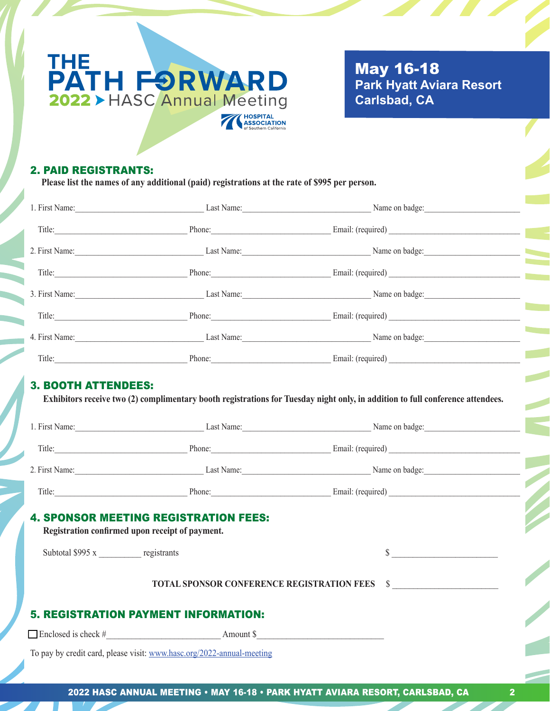

 May 16-18  **Park Hyatt Aviara Resort Carlsbad, CA**

### 2. PAID REGISTRANTS:

 **Please list the names of any additional (paid) registrations at the rate of \$995 per person.**

|                                             |                                                                                                 | 1. First Name: Last Name: Last Name: Name on badge: Name on badge:                                                                                                                                  |  |  |
|---------------------------------------------|-------------------------------------------------------------------------------------------------|-----------------------------------------------------------------------------------------------------------------------------------------------------------------------------------------------------|--|--|
|                                             |                                                                                                 |                                                                                                                                                                                                     |  |  |
|                                             |                                                                                                 | 2. First Name: Name: Name: Name: Name: Name: Name: Name on badge: Name on badge:                                                                                                                    |  |  |
|                                             |                                                                                                 | Title: Phone: Phone: Email: (required) Email: (required)                                                                                                                                            |  |  |
|                                             |                                                                                                 | 3. First Name: Name: Name: Name: Name: Name: Name: Name on badge:                                                                                                                                   |  |  |
|                                             |                                                                                                 | Title: Phone: Phone: Email: (required)                                                                                                                                                              |  |  |
|                                             |                                                                                                 | 4. First Name: Name: Name: Name: Name: Name: Name: Name on badge: Name on badge:                                                                                                                    |  |  |
|                                             |                                                                                                 | Title: Phone: Phone: Email: (required)                                                                                                                                                              |  |  |
|                                             |                                                                                                 | Exhibitors receive two (2) complimentary booth registrations for Tuesday night only, in addition to full conference attendees.<br>1. First Name: Name: Name: Name: Name: Name: Name: Name on badge: |  |  |
|                                             |                                                                                                 | 2. First Name: Last Name: Last Name: Name on badge:                                                                                                                                                 |  |  |
|                                             |                                                                                                 | Title: Phone: Phone: Email: (required)                                                                                                                                                              |  |  |
| Subtotal \$995 x registrants                | <b>4. SPONSOR MEETING REGISTRATION FEES:</b><br>Registration confirmed upon receipt of payment. | $\sim$                                                                                                                                                                                              |  |  |
|                                             |                                                                                                 | TOTAL SPONSOR CONFERENCE REGISTRATION FEES \$                                                                                                                                                       |  |  |
| <b>5. REGISTRATION PAYMENT INFORMATION:</b> |                                                                                                 |                                                                                                                                                                                                     |  |  |
| $\Box$ Enclosed is check #                  | Amount \$                                                                                       |                                                                                                                                                                                                     |  |  |

To pay by credit card, please visit: www.hasc.org/2022-annual-meeting